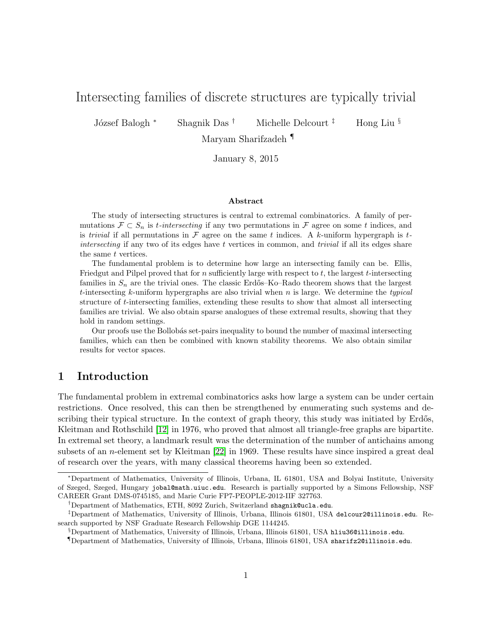# Intersecting families of discrete structures are typically trivial

J´ozsef Balogh <sup>∗</sup> Shagnik Das † Michelle Delcourt ‡ Hong Liu §

Maryam Sharifzadeh ¶

January 8, 2015

#### Abstract

The study of intersecting structures is central to extremal combinatorics. A family of permutations  $\mathcal{F} \subset S_n$  is *t*-intersecting if any two permutations in  $\mathcal{F}$  agree on some t indices, and is trivial if all permutations in  $\mathcal F$  agree on the same t indices. A k-uniform hypergraph is tintersecting if any two of its edges have t vertices in common, and *trivial* if all its edges share the same t vertices.

The fundamental problem is to determine how large an intersecting family can be. Ellis, Friedgut and Pilpel proved that for  $n$  sufficiently large with respect to  $t$ , the largest  $t$ -intersecting families in  $S_n$  are the trivial ones. The classic Erdős–Ko–Rado theorem shows that the largest t-intersecting  $k$ -uniform hypergraphs are also trivial when  $n$  is large. We determine the typical structure of t-intersecting families, extending these results to show that almost all intersecting families are trivial. We also obtain sparse analogues of these extremal results, showing that they hold in random settings.

Our proofs use the Bollobás set-pairs inequality to bound the number of maximal intersecting families, which can then be combined with known stability theorems. We also obtain similar results for vector spaces.

## 1 Introduction

The fundamental problem in extremal combinatorics asks how large a system can be under certain restrictions. Once resolved, this can then be strengthened by enumerating such systems and describing their typical structure. In the context of graph theory, this study was initiated by Erdős, Kleitman and Rothschild [\[12\]](#page-17-0) in 1976, who proved that almost all triangle-free graphs are bipartite. In extremal set theory, a landmark result was the determination of the number of antichains among subsets of an *n*-element set by Kleitman [\[22\]](#page-18-0) in 1969. These results have since inspired a great deal of research over the years, with many classical theorems having been so extended.

<sup>∗</sup>Department of Mathematics, University of Illinois, Urbana, IL 61801, USA and Bolyai Institute, University of Szeged, Szeged, Hungary jobal@math.uiuc.edu. Research is partially supported by a Simons Fellowship, NSF CAREER Grant DMS-0745185, and Marie Curie FP7-PEOPLE-2012-IIF 327763.

<sup>†</sup>Department of Mathematics, ETH, 8092 Zurich, Switzerland shagnik@ucla.edu.

<sup>‡</sup>Department of Mathematics, University of Illinois, Urbana, Illinois 61801, USA delcour2@illinois.edu. Research supported by NSF Graduate Research Fellowship DGE 1144245.

<sup>§</sup>Department of Mathematics, University of Illinois, Urbana, Illinois 61801, USA hliu36@illinois.edu.

<sup>¶</sup>Department of Mathematics, University of Illinois, Urbana, Illinois 61801, USA sharifz2@illinois.edu.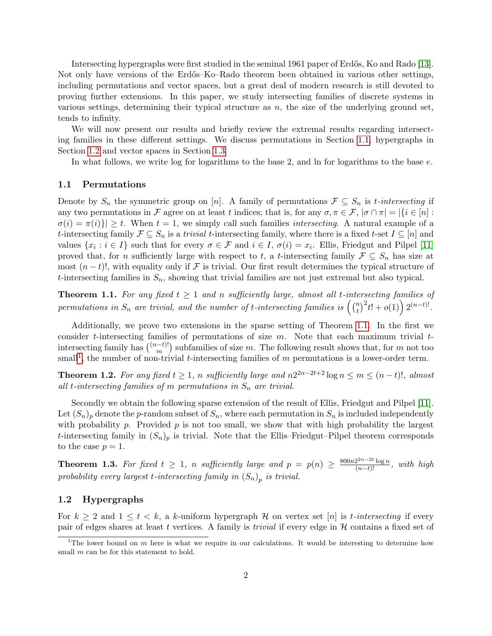Intersecting hypergraphs were first studied in the seminal 1961 paper of Erdős, Ko and Rado [\[13\]](#page-17-1). Not only have versions of the Erdős–Ko–Rado theorem been obtained in various other settings, including permutations and vector spaces, but a great deal of modern research is still devoted to proving further extensions. In this paper, we study intersecting families of discrete systems in various settings, determining their typical structure as  $n$ , the size of the underlying ground set, tends to infinity.

We will now present our results and briefly review the extremal results regarding intersecting families in these different settings. We discuss permutations in Section [1.1,](#page-1-0) hypergraphs in Section [1.2](#page-1-1) and vector spaces in Section [1.3.](#page-3-0)

In what follows, we write log for logarithms to the base 2, and ln for logarithms to the base  $e$ .

#### <span id="page-1-0"></span>1.1 Permutations

Denote by  $S_n$  the symmetric group on [n]. A family of permutations  $\mathcal{F} \subseteq S_n$  is t-intersecting if any two permutations in F agree on at least t indices; that is, for any  $\sigma, \pi \in \mathcal{F}$ ,  $|\sigma \cap \pi| = |\{i \in [n]:$  $\sigma(i) = \pi(i)$   $\geq t$ . When  $t = 1$ , we simply call such families *intersecting*. A natural example of a t-intersecting family  $\mathcal{F} \subseteq S_n$  is a trivial t-intersecting family, where there is a fixed t-set  $I \subseteq [n]$  and values  $\{x_i : i \in I\}$  such that for every  $\sigma \in \mathcal{F}$  and  $i \in I$ ,  $\sigma(i) = x_i$ . Ellis, Friedgut and Pilpel [\[11\]](#page-17-2) proved that, for n sufficiently large with respect to t, a t-intersecting family  $\mathcal{F} \subseteq S_n$  has size at most  $(n-t)!$ , with equality only if F is trivial. Our first result determines the typical structure of t-intersecting families in  $S_n$ , showing that trivial families are not just extremal but also typical.

<span id="page-1-2"></span>**Theorem 1.1.** For any fixed  $t \geq 1$  and n sufficiently large, almost all t-intersecting families of permutations in  $S_n$  are trivial, and the number of t-intersecting families is  $\left(\begin{smallmatrix} n \ t \end{smallmatrix}\right)$  $\binom{n}{t}^2 t! + o(1) \bigg) 2^{(n-t)!}.$ 

Additionally, we prove two extensions in the sparse setting of Theorem [1.1.](#page-1-2) In the first we consider t-intersecting families of permutations of size  $m$ . Note that each maximum trivial  $t$ intersecting family has  $\binom{(n-t)!}{m}$  $\binom{-t}{m}$  subfamilies of size m. The following result shows that, for m not too small<sup>[1](#page-1-3)</sup>, the number of non-trivial t-intersecting families of  $m$  permutations is a lower-order term.

<span id="page-1-4"></span>**Theorem 1.2.** For any fixed  $t \geq 1$ , n sufficiently large and  $n2^{2n-2t+2} \log n \leq m \leq (n-t)!$ , almost all t-intersecting families of m permutations in  $S_n$  are trivial.

Secondly we obtain the following sparse extension of the result of Ellis, Friedgut and Pilpel [\[11\]](#page-17-2). Let  $(S_n)_p$  denote the p-random subset of  $S_n$ , where each permutation in  $S_n$  is included independently with probability p. Provided  $p$  is not too small, we show that with high probability the largest t-intersecting family in  $(S_n)_p$  is trivial. Note that the Ellis–Friedgut–Pilpel theorem corresponds to the case  $p = 1$ .

<span id="page-1-5"></span>**Theorem 1.3.** For fixed  $t \geq 1$ , n sufficiently large and  $p = p(n) \geq \frac{800n2^{2n-2t} \log n}{(n-t)!}$ , with high probability every largest t-intersecting family in  $(S_n)_p$  is trivial.

#### <span id="page-1-1"></span>1.2 Hypergraphs

For  $k \geq 2$  and  $1 \leq t \leq k$ , a k-uniform hypergraph H on vertex set [n] is t-intersecting if every pair of edges shares at least t vertices. A family is *trivial* if every edge in  $H$  contains a fixed set of

<span id="page-1-3"></span><sup>&</sup>lt;sup>1</sup>The lower bound on m here is what we require in our calculations. It would be interesting to determine how small m can be for this statement to hold.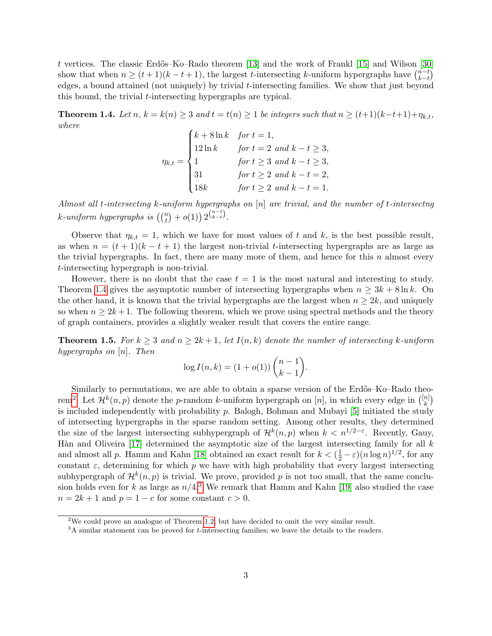t vertices. The classic Erdős–Ko–Rado theorem [\[13\]](#page-17-1) and the work of Frankl [\[15\]](#page-17-3) and Wilson [\[30\]](#page-18-1) show that when  $n \geq (t+1)(k-t+1)$ , the largest t-intersecting k-uniform hypergraphs have  $\binom{n-t}{k-t}$  $\binom{n-t}{k-t}$ edges, a bound attained (not uniquely) by trivial t-intersecting families. We show that just beyond this bound, the trivial t-intersecting hypergraphs are typical.

<span id="page-2-0"></span>**Theorem 1.4.** Let  $n, k = k(n) \geq 3$  and  $t = t(n) \geq 1$  be integers such that  $n \geq (t+1)(k-t+1)+\eta_{k,t}$ , where

 $\eta_{k,t} =$  $\sqrt{ }$  $\int$  $\overline{\mathcal{L}}$  $k + 8 \ln k$  for  $t = 1$ ,  $12 \ln k$  for  $t = 2$  and  $k - t \geq 3$ , 1 for  $t \geq 3$  and  $k - t \geq 3$ , 31 for  $t \geq 2$  and  $k - t = 2$ , 18k for  $t \geq 2$  and  $k - t = 1$ .

Almost all t-intersecting k-uniform hypergraphs on [n] are trivial, and the number of t-intersectng  $k$ -uniform hypergraphs is  $\left(\binom{n}{t} + o(1)\right) 2^{\binom{n-t}{k-t}}$ .

Observe that  $\eta_{k,t} = 1$ , which we have for most values of t and k, is the best possible result, as when  $n = (t + 1)(k - t + 1)$  the largest non-trivial t-intersecting hypergraphs are as large as the trivial hypergraphs. In fact, there are many more of them, and hence for this  $n$  almost every t-intersecting hypergraph is non-trivial.

However, there is no doubt that the case  $t = 1$  is the most natural and interesting to study. Theorem [1.4](#page-2-0) gives the asymptotic number of intersecting hypergraphs when  $n \geq 3k + 8 \ln k$ . On the other hand, it is known that the trivial hypergraphs are the largest when  $n \geq 2k$ , and uniquely so when  $n \geq 2k+1$ . The following theorem, which we prove using spectral methods and the theory of graph containers, provides a slightly weaker result that covers the entire range.

<span id="page-2-3"></span>**Theorem 1.5.** For  $k \geq 3$  and  $n \geq 2k+1$ , let  $I(n, k)$  denote the number of intersecting k-uniform hypergraphs on [n]. Then

$$
\log I(n,k) = (1 + o(1)) \binom{n-1}{k-1}.
$$

Similarly to permutations, we are able to obtain a sparse version of the Erdős–Ko–Rado theo-rem<sup>[2](#page-2-1)</sup>. Let  $\mathcal{H}^k(n,p)$  denote the p-random k-uniform hypergraph on [n], in which every edge in  $\binom{[n]}{k}$  $_{k}^{n]}\big)$ is included independently with probability  $p$ . Balogh, Bohman and Mubayi [\[5\]](#page-17-4) initiated the study of intersecting hypergraphs in the sparse random setting. Among other results, they determined the size of the largest intersecting subhypergraph of  $\mathcal{H}^k(n,p)$  when  $k < n^{1/2-\varepsilon}$ . Recently, Gauy, Hàn and Oliveira [\[17\]](#page-17-5) determined the asymptotic size of the largest intersecting family for all  $k$ and almost all p. Hamm and Kahn [\[18\]](#page-17-6) obtained an exact result for  $k < (\frac{1}{2} - \varepsilon)(n \log n)^{1/2}$ , for any constant  $\varepsilon$ , determining for which p we have with high probability that every largest intersecting subhypergraph of  $\mathcal{H}^k(n,p)$  is trivial. We prove, provided p is not too small, that the same conclusion holds even for k as large as  $n/4$ <sup>[3](#page-2-2)</sup>. We remark that Hamm and Kahn [\[19\]](#page-17-7) also studied the case  $n = 2k + 1$  and  $p = 1 - c$  for some constant  $c > 0$ .

<span id="page-2-1"></span><sup>2</sup>We could prove an analogue of Theorem [1.2,](#page-1-4) but have decided to omit the very similar result.

<span id="page-2-2"></span> $3A$  similar statement can be proved for *t*-intersecting families; we leave the details to the readers.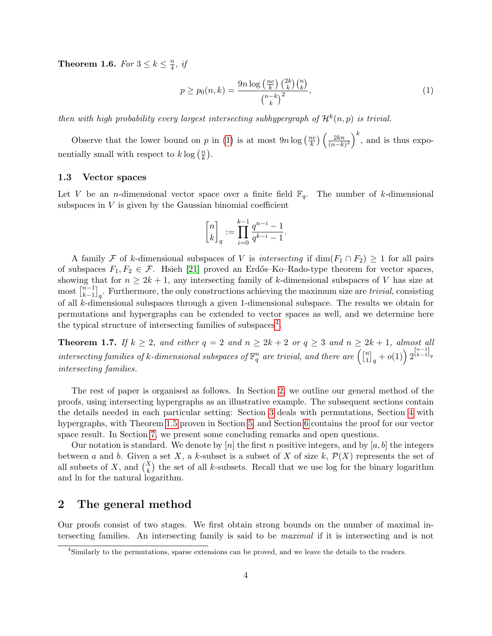<span id="page-3-4"></span>**Theorem 1.6.** For  $3 \leq k \leq \frac{n}{4}$  $\frac{n}{4}$ , if

<span id="page-3-1"></span>
$$
p \ge p_0(n,k) = \frac{9n \log\left(\frac{ne}{k}\right) \binom{2k}{k} \binom{n}{k}}{\binom{n-k}{k}^2},\tag{1}
$$

then with high probability every largest intersecting subhypergraph of  $\mathcal{H}^k(n,p)$  is trivial.

Observe that the lower bound on p in [\(1\)](#page-3-1) is at most  $9n \log(\frac{ne}{k})$  $\frac{ie}{k}$ )  $\left(\frac{2kn}{(n-k)}\right)$  $\left(\frac{2kn}{(n-k)^2}\right)^k$ , and is thus exponentially small with respect to  $k \log\left(\frac{n}{k}\right)$  $\frac{n}{k}$ .

#### <span id="page-3-0"></span>1.3 Vector spaces

Let V be an *n*-dimensional vector space over a finite field  $\mathbb{F}_q$ . The number of k-dimensional subspaces in  $V$  is given by the Gaussian binomial coefficient

$$
\genfrac{[}{]}{0pt}{}{n}{k}_q := \prod_{i=0}^{k-1} \frac{q^{n-i}-1}{q^{k-i}-1}.
$$

A family F of k-dimensional subspaces of V is intersecting if  $\dim(F_1 \cap F_2) \geq 1$  for all pairs of subspaces  $F_1, F_2 \in \mathcal{F}$ . Hsieh [\[21\]](#page-17-8) proved an Erdős–Ko–Rado-type theorem for vector spaces, showing that for  $n \geq 2k+1$ , any intersecting family of k-dimensional subspaces of V has size at  $\max\left[n-1\atop k-1\right]$  $\binom{n-1}{k-1}_q$ . Furthermore, the only constructions achieving the maximum size are *trivial*, consisting of all k-dimensional subspaces through a given 1-dimensional subspace. The results we obtain for permutations and hypergraphs can be extended to vector spaces as well, and we determine here the typical structure of intersecting families of subspaces<sup>[4](#page-3-2)</sup>.

<span id="page-3-5"></span>**Theorem 1.7.** If  $k \geq 2$ , and either  $q = 2$  and  $n \geq 2k + 2$  or  $q \geq 3$  and  $n \geq 2k + 1$ , almost all intersecting families of k-dimensional subspaces of  $\mathbb{F}_q^n$  are trivial, and there are  $\begin{pmatrix} \mathbb{I}_1^n \end{pmatrix}$  $\left[ \begin{smallmatrix} n \ 1 \ 1 \end{smallmatrix} \right]_q + o(1) \Big) \, 2^{\left[ \begin{smallmatrix} n-1 \ k-1 \end{smallmatrix} \right]_q}$ intersecting families.

The rest of paper is organised as follows. In Section [2,](#page-3-3) we outline our general method of the proofs, using intersecting hypergraphs as an illustrative example. The subsequent sections contain the details needed in each particular setting: Section [3](#page-6-0) deals with permutations, Section [4](#page-8-0) with hypergraphs, with Theorem [1.5](#page-2-3) proven in Section [5,](#page-11-0) and Section [6](#page-14-0) contains the proof for our vector space result. In Section [7,](#page-15-0) we present some concluding remarks and open questions.

Our notation is standard. We denote by  $[n]$  the first n positive integers, and by  $[a, b]$  the integers between a and b. Given a set X, a k-subset is a subset of X of size k,  $\mathcal{P}(X)$  represents the set of all subsets of X, and  $\binom{X}{k}$  the set of all k-subsets. Recall that we use log for the binary logarithm and ln for the natural logarithm.

### <span id="page-3-3"></span>2 The general method

Our proofs consist of two stages. We first obtain strong bounds on the number of maximal intersecting families. An intersecting family is said to be maximal if it is intersecting and is not

<span id="page-3-2"></span><sup>4</sup>Similarly to the permutations, sparse extensions can be proved, and we leave the details to the readers.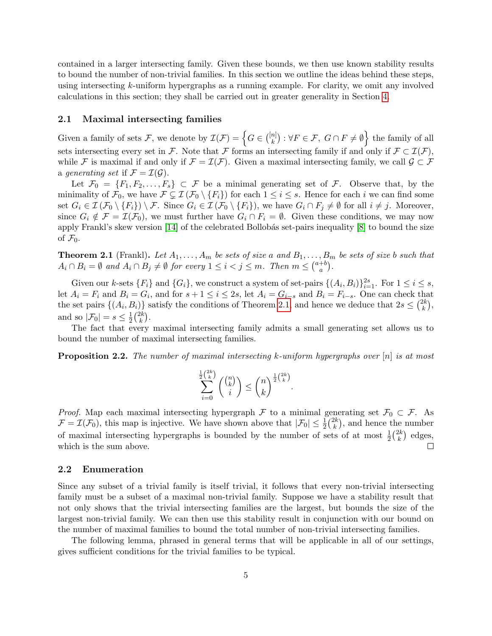contained in a larger intersecting family. Given these bounds, we then use known stability results to bound the number of non-trivial families. In this section we outline the ideas behind these steps, using intersecting k-uniform hypergraphs as a running example. For clarity, we omit any involved calculations in this section; they shall be carried out in greater generality in Section [4.](#page-8-0)

#### 2.1 Maximal intersecting families

Given a family of sets F, we denote by  $\mathcal{I}(\mathcal{F}) = \left\{ G \in \binom{[n]}{k} \right\}$  $\{k^{(n)}_k\}$  :  $\forall F \in \mathcal{F}, \ G \cap F \neq \emptyset$  the family of all sets intersecting every set in F. Note that F forms an intersecting family if and only if  $\mathcal{F} \subset \mathcal{I}(\mathcal{F}),$ while F is maximal if and only if  $\mathcal{F} = \mathcal{I}(\mathcal{F})$ . Given a maximal intersecting family, we call  $\mathcal{G} \subset \mathcal{F}$ a generating set if  $\mathcal{F} = \mathcal{I}(\mathcal{G})$ .

Let  $\mathcal{F}_0 = \{F_1, F_2, \ldots, F_s\} \subset \mathcal{F}$  be a minimal generating set of  $\mathcal{F}$ . Observe that, by the minimality of  $\mathcal{F}_0$ , we have  $\mathcal{F} \subsetneq \mathcal{I}(\mathcal{F}_0 \setminus \{F_i\})$  for each  $1 \leq i \leq s$ . Hence for each i we can find some set  $G_i \in \mathcal{I}(\mathcal{F}_0 \setminus \{F_i\}) \setminus \mathcal{F}$ . Since  $G_i \in \mathcal{I}(\mathcal{F}_0 \setminus \{F_i\})$ , we have  $G_i \cap F_j \neq \emptyset$  for all  $i \neq j$ . Moreover, since  $G_i \notin \mathcal{F} = \mathcal{I}(\mathcal{F}_0)$ , we must further have  $G_i \cap F_i = \emptyset$ . Given these conditions, we may now apply Frankl's skew version  $[14]$  of the celebrated Bollobás set-pairs inequality  $[8]$  to bound the size of  $\mathcal{F}_0$ .

<span id="page-4-0"></span>**Theorem 2.1** (Frankl). Let  $A_1, \ldots, A_m$  be sets of size a and  $B_1, \ldots, B_m$  be sets of size b such that  $A_i \cap B_i = \emptyset$  and  $A_i \cap B_j \neq \emptyset$  for every  $1 \leq i < j \leq m$ . Then  $m \leq {a+b \choose a}$  $\binom{+b}{a}$ .

Given our k-sets  $\{F_i\}$  and  $\{G_i\}$ , we construct a system of set-pairs  $\{(A_i, B_i)\}_{i=1}^{2s}$ . For  $1 \le i \le s$ , let  $A_i = F_i$  and  $B_i = G_i$ , and for  $s + 1 \le i \le 2s$ , let  $A_i = G_{i-s}$  and  $B_i = F_{i-s}$ . One can check that the set pairs  $\{(A_i, B_i)\}\$  satisfy the conditions of Theorem [2.1,](#page-4-0) and hence we deduce that  $2s \leq {2k \choose k}$  $\binom{2k}{k},$ and so  $|\mathcal{F}_0| = s \leq \frac{1}{2}$  $\frac{1}{2} \binom{2k}{k}$  $\binom{2k}{k}$ .

The fact that every maximal intersecting family admits a small generating set allows us to bound the number of maximal intersecting families.

<span id="page-4-1"></span>**Proposition 2.2.** The number of maximal intersecting k-uniform hypergraphs over  $[n]$  is at most

$$
\sum_{i=0}^{\frac{1}{2}\binom{2k}{k}}\binom{\binom{n}{k}}{i}\leq \binom{n}{k}^{\frac{1}{2}\binom{2k}{k}}.
$$

*Proof.* Map each maximal intersecting hypergraph F to a minimal generating set  $\mathcal{F}_0 \subset \mathcal{F}$ . As  $\mathcal{F} = \mathcal{I}(\mathcal{F}_0)$ , this map is injective. We have shown above that  $|\mathcal{F}_0| \leq \frac{1}{2} \binom{2k}{k}$  $\binom{2k}{k}$ , and hence the number of maximal intersecting hypergraphs is bounded by the number of sets of at most  $\frac{1}{2} {2k \choose k}$  $\binom{2k}{k}$  edges,  $\Box$ which is the sum above.

#### 2.2 Enumeration

Since any subset of a trivial family is itself trivial, it follows that every non-trivial intersecting family must be a subset of a maximal non-trivial family. Suppose we have a stability result that not only shows that the trivial intersecting families are the largest, but bounds the size of the largest non-trivial family. We can then use this stability result in conjunction with our bound on the number of maximal families to bound the total number of non-trivial intersecting families.

The following lemma, phrased in general terms that will be applicable in all of our settings, gives sufficient conditions for the trivial families to be typical.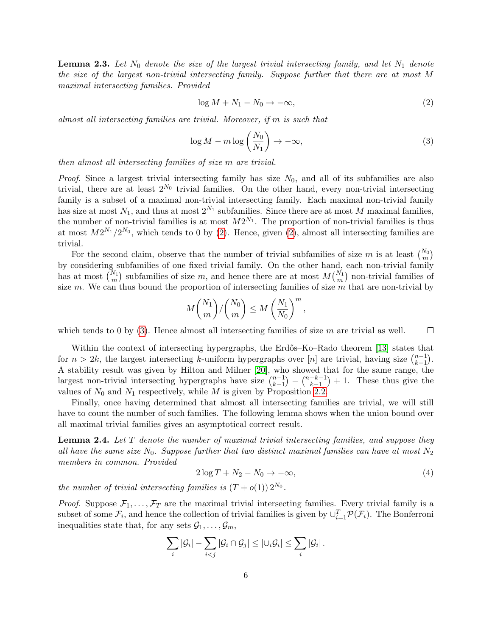<span id="page-5-2"></span>**Lemma 2.3.** Let  $N_0$  denote the size of the largest trivial intersecting family, and let  $N_1$  denote the size of the largest non-trivial intersecting family. Suppose further that there are at most M maximal intersecting families. Provided

<span id="page-5-0"></span>
$$
\log M + N_1 - N_0 \to -\infty,\tag{2}
$$

almost all intersecting families are trivial. Moreover, if m is such that

<span id="page-5-1"></span>
$$
\log M - m \log \left( \frac{N_0}{N_1} \right) \to -\infty, \tag{3}
$$

then almost all intersecting families of size m are trivial.

*Proof.* Since a largest trivial intersecting family has size  $N_0$ , and all of its subfamilies are also trivial, there are at least  $2^{N_0}$  trivial families. On the other hand, every non-trivial intersecting family is a subset of a maximal non-trivial intersecting family. Each maximal non-trivial family has size at most  $N_1$ , and thus at most  $2^{N_1}$  subfamilies. Since there are at most M maximal families, the number of non-trivial families is at most  $M2^{N_1}$ . The proportion of non-trivial families is thus at most  $M2^{N_1}/2^{N_0}$ , which tends to 0 by [\(2\)](#page-5-0). Hence, given (2), almost all intersecting families are trivial.

For the second claim, observe that the number of trivial subfamilies of size m is at least  $\binom{N_0}{m}$ by considering subfamilies of one fixed trivial family. On the other hand, each non-trivial family has at most  $\binom{N_1}{m}$  subfamilies of size m, and hence there are at most  $M\binom{N_1}{m}$  non-trivial families of size m. We can thus bound the proportion of intersecting families of size  $\overline{m}$  that are non-trivial by

$$
M\binom{N_1}{m}/\binom{N_0}{m} \le M\left(\frac{N_1}{N_0}\right)^m,
$$

which tends to 0 by  $(3)$ . Hence almost all intersecting families of size m are trivial as well.  $\Box$ 

Within the context of intersecting hypergraphs, the Erdős–Ko–Rado theorem [\[13\]](#page-17-1) states that for  $n > 2k$ , the largest intersecting k-uniform hypergraphs over [n] are trivial, having size  $\binom{n-1}{k-1}$  $_{k-1}^{n-1}$ ). A stability result was given by Hilton and Milner [\[20\]](#page-17-11), who showed that for the same range, the largest non-trivial intersecting hypergraphs have size  $\binom{n-1}{k-1}$  $\binom{n-1}{k-1} - \binom{n-k-1}{k-1}$  $\binom{-k-1}{k-1}+1$ . These thus give the values of  $N_0$  and  $N_1$  respectively, while M is given by Proposition [2.2.](#page-4-1)

Finally, once having determined that almost all intersecting families are trivial, we will still have to count the number of such families. The following lemma shows when the union bound over all maximal trivial families gives an asymptotical correct result.

<span id="page-5-3"></span>**Lemma 2.4.** Let T denote the number of maximal trivial intersecting families, and suppose they all have the same size  $N_0$ . Suppose further that two distinct maximal families can have at most  $N_2$ members in common. Provided

<span id="page-5-4"></span>
$$
2\log T + N_2 - N_0 \to -\infty,\tag{4}
$$

the number of trivial intersecting families is  $(T+o(1)) 2^{N_0}$ .

*Proof.* Suppose  $\mathcal{F}_1, \ldots, \mathcal{F}_T$  are the maximal trivial intersecting families. Every trivial family is a subset of some  $\mathcal{F}_i$ , and hence the collection of trivial families is given by  $\cup_{i=1}^T \mathcal{P}(\mathcal{F}_i)$ . The Bonferroni inequalities state that, for any sets  $\mathcal{G}_1, \ldots, \mathcal{G}_m$ ,

$$
\sum_i |\mathcal{G}_i| - \sum_{i < j} |\mathcal{G}_i \cap \mathcal{G}_j| \leq |\cup_i \mathcal{G}_i| \leq \sum_i |\mathcal{G}_i|.
$$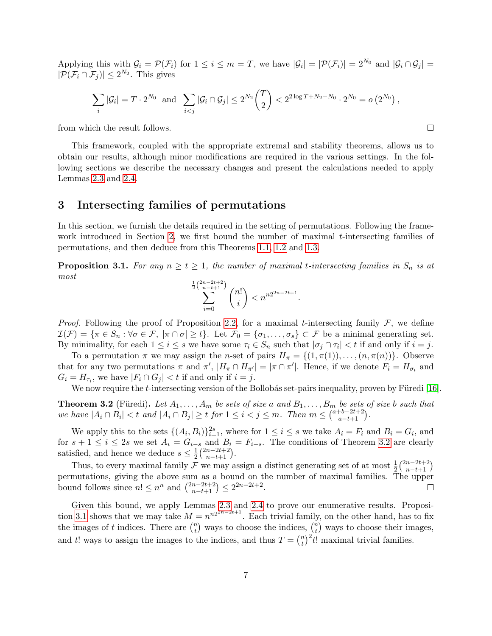Applying this with  $\mathcal{G}_i = \mathcal{P}(\mathcal{F}_i)$  for  $1 \leq i \leq m = T$ , we have  $|\mathcal{G}_i| = |\mathcal{P}(\mathcal{F}_i)| = 2^{N_0}$  and  $|\mathcal{G}_i \cap \mathcal{G}_j|$  $|\mathcal{P}(\mathcal{F}_i \cap \mathcal{F}_j)| \leq 2^{N_2}$ . This gives

$$
\sum_{i} |\mathcal{G}_i| = T \cdot 2^{N_0} \text{ and } \sum_{i < j} |\mathcal{G}_i \cap \mathcal{G}_j| \le 2^{N_2} \binom{T}{2} < 2^{2 \log T + N_2 - N_0} \cdot 2^{N_0} = o(2^{N_0}),
$$

from which the result follows.

This framework, coupled with the appropriate extremal and stability theorems, allows us to obtain our results, although minor modifications are required in the various settings. In the following sections we describe the necessary changes and present the calculations needed to apply Lemmas [2.3](#page-5-2) and [2.4.](#page-5-3)

### <span id="page-6-0"></span>3 Intersecting families of permutations

In this section, we furnish the details required in the setting of permutations. Following the frame-work introduced in Section [2,](#page-3-3) we first bound the number of maximal  $t$ -intersecting families of permutations, and then deduce from this Theorems [1.1,](#page-1-2) [1.2](#page-1-4) and [1.3.](#page-1-5)

<span id="page-6-2"></span>**Proposition 3.1.** For any  $n \ge t \ge 1$ , the number of maximal t-intersecting families in  $S_n$  is at most  $\frac{1}{2}$ 

$$
\sum_{i=0}^{2n-2t+2} {n! \choose i} < n^{n2^{2n-2t+1}}.
$$

*Proof.* Following the proof of Proposition [2.2,](#page-4-1) for a maximal t-intersecting family  $\mathcal{F}$ , we define  $\mathcal{I}(\mathcal{F}) = {\pi \in S_n : \forall \sigma \in \mathcal{F}, \ |\pi \cap \sigma| \geq t}.$  Let  $\mathcal{F}_0 = {\sigma_1, \ldots, \sigma_s} \subset \mathcal{F}$  be a minimal generating set. By minimality, for each  $1 \leq i \leq s$  we have some  $\tau_i \in S_n$  such that  $|\sigma_j \cap \tau_i| < t$  if and only if  $i = j$ .

To a permutation  $\pi$  we may assign the *n*-set of pairs  $H_{\pi} = \{(1, \pi(1)), \ldots, (n, \pi(n))\}$ . Observe that for any two permutations  $\pi$  and  $\pi'$ ,  $|H_{\pi} \cap H_{\pi'}| = |\pi \cap \pi'|$ . Hence, if we denote  $F_i = H_{\sigma_i}$  and  $G_i = H_{\tau_i}$ , we have  $|F_i \cap G_j| < t$  if and only if  $i = j$ .

We now require the t-intersecting version of the Bollobás set-pairs inequality, proven by Füredi [\[16\]](#page-17-12).

<span id="page-6-1"></span>**Theorem 3.2** (Füredi). Let  $A_1, \ldots, A_m$  be sets of size a and  $B_1, \ldots, B_m$  be sets of size b such that we have  $|A_i \cap B_i| < t$  and  $|A_i \cap B_j| \ge t$  for  $1 \le i < j \le m$ . Then  $m \le {\binom{a+b-2t+2}{a-t+1}}$ .

We apply this to the sets  $\{(A_i, B_i)\}_{i=1}^{2s}$ , where for  $1 \leq i \leq s$  we take  $A_i = F_i$  and  $B_i = G_i$ , and for  $s + 1 \leq i \leq 2s$  we set  $A_i = G_{i-s}$  and  $B_i = F_{i-s}$ . The conditions of Theorem [3.2](#page-6-1) are clearly satisfied, and hence we deduce  $s \leq \frac{1}{2}$  $\frac{1}{2} \binom{2n-2t+2}{n-t+1}.$ 

Thus, to every maximal family  $\mathcal F$  we may assign a distinct generating set of at most  $\frac{1}{2} {2n-2t+2 \choose n-t+1}$ permutations, giving the above sum as a bound on the number of maximal families. The upper bound follows since  $n! \leq n^n$  and  $\binom{2n-2t+2}{n-t+1} \leq 2^{2n-2t+2}$ .  $\Box$ 

Given this bound, we apply Lemmas [2.3](#page-5-2) and [2.4](#page-5-3) to prove our enumerative results. Proposi-tion [3.1](#page-6-2) shows that we may take  $M = n^{n2^{2n-2t+1}}$ . Each trivial family, on the other hand, has to fix the images of t indices. There are  $\binom{n}{t}$  $\binom{n}{t}$  ways to choose the indices,  $\binom{n}{t}$  $\binom{n}{t}$  ways to choose their images, and t! ways to assign the images to the indices, and thus  $T = \binom{n}{t}$  $(t<sub>t</sub>)<sup>n</sup>$ )<sup>2</sup> $t!$  maximal trivial families.

 $\Box$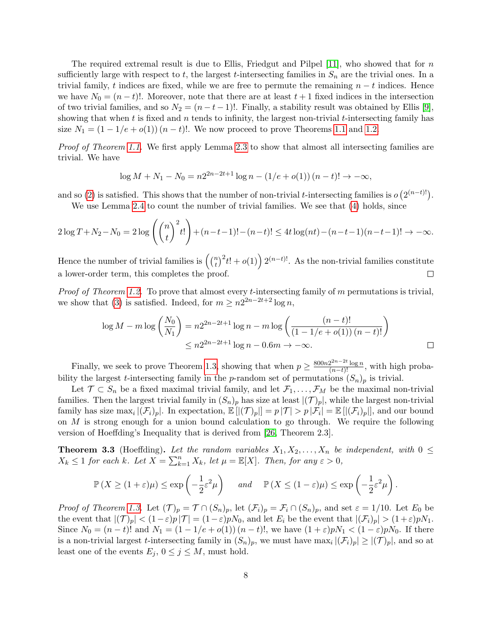The required extremal result is due to Ellis, Friedgut and Pilpel  $[11]$ , who showed that for n sufficiently large with respect to t, the largest t-intersecting families in  $S_n$  are the trivial ones. In a trivial family, t indices are fixed, while we are free to permute the remaining  $n - t$  indices. Hence we have  $N_0 = (n - t)!$ . Moreover, note that there are at least  $t + 1$  fixed indices in the intersection of two trivial families, and so  $N_2 = (n - t - 1)!$ . Finally, a stability result was obtained by Ellis [\[9\]](#page-17-13), showing that when t is fixed and n tends to infinity, the largest non-trivial t-intersecting family has size  $N_1 = (1 - 1/e + o(1))(n - t)!$ . We now proceed to prove Theorems [1.1](#page-1-2) and [1.2.](#page-1-4)

Proof of Theorem [1.1.](#page-1-2) We first apply Lemma [2.3](#page-5-2) to show that almost all intersecting families are trivial. We have

$$
\log M + N_1 - N_0 = n2^{2n-2t+1} \log n - (1/e + o(1))(n-t)! \to -\infty,
$$

and so [\(2\)](#page-5-0) is satisfied. This shows that the number of non-trivial t-intersecting families is  $o(2^{(n-t)!})$ .

We use Lemma [2.4](#page-5-3) to count the number of trivial families. We see that [\(4\)](#page-5-4) holds, since

$$
2\log T + N_2 - N_0 = 2\log \left( {n \choose t}^2 t! \right) + (n-t-1)! - (n-t)! \le 4t \log(nt) - (n-t-1)(n-t-1)! \to -\infty.
$$

Hence the number of trivial families is  $\binom{n}{t}$  $(t<sub>t</sub>)<sup>n</sup>$  $(t<sub>t</sub>)<sup>2</sup>(t<sup>n-t</sup>)<sup>1</sup>$ . As the non-trivial families constitute a lower-order term, this completes the proof.  $\Box$ 

*Proof of Theorem [1.2.](#page-1-4)* To prove that almost every *t*-intersecting family of m permutations is trivial, we show that [\(3\)](#page-5-1) is satisfied. Indeed, for  $m \geq n2^{2n-2t+2} \log n$ ,

$$
\log M - m \log \left( \frac{N_0}{N_1} \right) = n2^{2n - 2t + 1} \log n - m \log \left( \frac{(n - t)!}{(1 - 1/e + o(1)) (n - t)!} \right)
$$
  

$$
\leq n2^{2n - 2t + 1} \log n - 0.6m \to -\infty.
$$

Finally, we seek to prove Theorem [1.3,](#page-1-5) showing that when  $p \ge \frac{800n2^{2n-2t} \log n}{(n-t)!}$ , with high probability the largest *t*-intersecting family in the *p*-random set of permutations  $(S_n)_p$  is trivial.

Let  $\mathcal{T} \subset S_n$  be a fixed maximal trivial family, and let  $\mathcal{F}_1, \ldots, \mathcal{F}_M$  be the maximal non-trivial families. Then the largest trivial family in  $(S_n)_p$  has size at least  $|(\mathcal{T})_p|$ , while the largest non-trivial family has size  $\max_i |(\mathcal{F}_i)_p|$ . In expectation,  $\mathbb{E}[|(\mathcal{T})_p|] = p |\mathcal{T}| > p |\mathcal{F}_i| = \mathbb{E}[|(\mathcal{F}_i)_p|]$ , and our bound on  $M$  is strong enough for a union bound calculation to go through. We require the following version of Hoeffding's Inequality that is derived from [\[26,](#page-18-2) Theorem 2.3].

<span id="page-7-0"></span>**Theorem 3.3** (Hoeffding). Let the random variables  $X_1, X_2, \ldots, X_n$  be independent, with  $0 \leq$  $X_k \leq 1$  for each k. Let  $X = \sum_{k=1}^n X_k$ , let  $\mu = \mathbb{E}[X]$ . Then, for any  $\varepsilon > 0$ ,

$$
\mathbb{P}\left(X \ge (1+\varepsilon)\mu\right) \le \exp\left(-\frac{1}{2}\varepsilon^2\mu\right) \quad \text{and} \quad \mathbb{P}\left(X \le (1-\varepsilon)\mu\right) \le \exp\left(-\frac{1}{2}\varepsilon^2\mu\right)
$$

.

*Proof of Theorem [1.3.](#page-1-5)* Let  $(\mathcal{T})_p = \mathcal{T} \cap (S_n)_p$ , let  $(\mathcal{F}_i)_p = \mathcal{F}_i \cap (S_n)_p$ , and set  $\varepsilon = 1/10$ . Let  $E_0$  be the event that  $|(\mathcal{T})_p| < (1-\varepsilon)p|\mathcal{T}| = (1-\varepsilon)pN_0$ , and let  $E_i$  be the event that  $|(\mathcal{F}_i)_p| > (1+\varepsilon)pN_1$ . Since  $N_0 = (n - t)!$  and  $N_1 = (1 - 1/e + o(1))(n - t)!$ , we have  $(1 + \varepsilon)pN_1 < (1 - \varepsilon)pN_0$ . If there is a non-trivial largest t-intersecting family in  $(S_n)_p$ , we must have  $\max_i |(\mathcal{F}_i)_p| \ge |(\mathcal{T})_p|$ , and so at least one of the events  $E_j$ ,  $0 \le j \le M$ , must hold.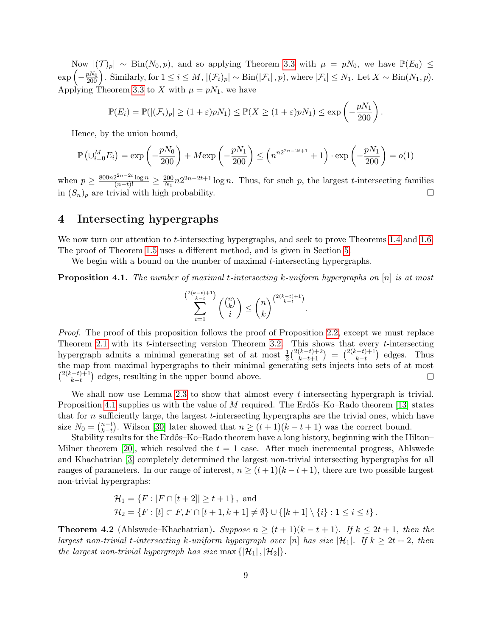Now  $|(\mathcal{T})_p| \sim \text{Bin}(N_0, p)$ , and so applying Theorem [3.3](#page-7-0) with  $\mu = pN_0$ , we have  $\mathbb{P}(E_0) \leq$  $\exp\left(-\frac{pN_0}{200}\right)$ . Similarly, for  $1 \leq i \leq M$ ,  $|(\mathcal{F}_i)_p| \sim \text{Bin}(|\mathcal{F}_i|, p)$ , where  $|\mathcal{F}_i| \leq N_1$ . Let  $X \sim \text{Bin}(N_1, p)$ . Applying Theorem [3.3](#page-7-0) to X with  $\mu = pN_1$ , we have

$$
\mathbb{P}(E_i) = \mathbb{P}(|(\mathcal{F}_i)_p| \ge (1+\varepsilon)pN_1) \le \mathbb{P}(X \ge (1+\varepsilon)pN_1) \le \exp\left(-\frac{pN_1}{200}\right).
$$

Hence, by the union bound,

$$
\mathbb{P}\left(\cup_{i=0}^{M} E_i\right) = \exp\left(-\frac{pN_0}{200}\right) + M \exp\left(-\frac{pN_1}{200}\right) \le \left(n^{n2^{2n-2t+1}} + 1\right) \cdot \exp\left(-\frac{pN_1}{200}\right) = o(1)
$$

when  $p \geq \frac{800n2^{2n-2t} \log n}{(n-t)!} \geq \frac{200}{N_1}$  $\frac{200}{N_1}n2^{2n-2t+1}\log n$ . Thus, for such p, the largest t-intersecting families in  $(S_n)_p$  are trivial with high probability.  $\Box$ 

# <span id="page-8-0"></span>4 Intersecting hypergraphs

We now turn our attention to *t*-intersecting hypergraphs, and seek to prove Theorems [1.4](#page-2-0) and [1.6.](#page-3-4) The proof of Theorem [1.5](#page-2-3) uses a different method, and is given in Section [5.](#page-11-0)

We begin with a bound on the number of maximal  $t$ -intersecting hypergraphs.

<span id="page-8-1"></span>**Proposition 4.1.** The number of maximal t-intersecting k-uniform hypergraphs on  $[n]$  is at most

$$
\sum_{i=1}^{\binom{2(k-t+1)}{k-t}} \binom{\binom{n}{k}}{i} \le \binom{n}{k}^{\binom{2(k-t)+1}{k-t}}.
$$

Proof. The proof of this proposition follows the proof of Proposition [2.2,](#page-4-1) except we must replace Theorem [2.1](#page-4-0) with its t-intersecting version Theorem [3.2.](#page-6-1) This shows that every t-intersecting hypergraph admits a minimal generating set of at most  $\frac{1}{2} \binom{2(k-t)+2}{k-t+1}$  $\binom{(k-t)+2}{k-t+1} = \binom{2(k-t)+1}{k-t}$  $\binom{n-t+1}{k-t}$  edges. Thus the map from maximal hypergraphs to their minimal generating sets injects into sets of at most  $\binom{2(k-t)+1}{k-t}$  $\binom{(-t)+1}{k-t}$  edges, resulting in the upper bound above.  $\Box$ 

We shall now use Lemma [2.3](#page-5-2) to show that almost every *t*-intersecting hypergraph is trivial. Proposition [4.1](#page-8-1) supplies us with the value of  $M$  required. The Erdős–Ko–Rado theorem [\[13\]](#page-17-1) states that for  $n$  sufficiently large, the largest  $t$ -intersecting hypergraphs are the trivial ones, which have size  $N_0 = \binom{n-t}{k-t}$  $_{k-t}^{n-t}$ ). Wilson [\[30\]](#page-18-1) later showed that  $n \ge (t+1)(k-t+1)$  was the correct bound.

Stability results for the Erdős–Ko–Rado theorem have a long history, beginning with the Hilton– Milner theorem [\[20\]](#page-17-11), which resolved the  $t = 1$  case. After much incremental progress, Ahlswede and Khachatrian [\[3\]](#page-16-0) completely determined the largest non-trivial intersecting hypergraphs for all ranges of parameters. In our range of interest,  $n \ge (t+1)(k-t+1)$ , there are two possible largest non-trivial hypergraphs:

$$
\mathcal{H}_1 = \{ F : |F \cap [t+2]| \ge t+1 \}, \text{ and}
$$
  
\n
$$
\mathcal{H}_2 = \{ F : [t] \subset F, F \cap [t+1, k+1] \ne \emptyset \} \cup \{ [k+1] \setminus \{i\} : 1 \le i \le t \}.
$$

<span id="page-8-2"></span>**Theorem 4.2** (Ahlswede–Khachatrian). Suppose  $n \geq (t+1)(k-t+1)$ . If  $k \leq 2t+1$ , then the largest non-trivial t-intersecting k-uniform hypergraph over [n] has size  $|\mathcal{H}_1|$ . If  $k \geq 2t + 2$ , then the largest non-trivial hypergraph has size max  $\{|\mathcal{H}_1|, |\mathcal{H}_2|\}.$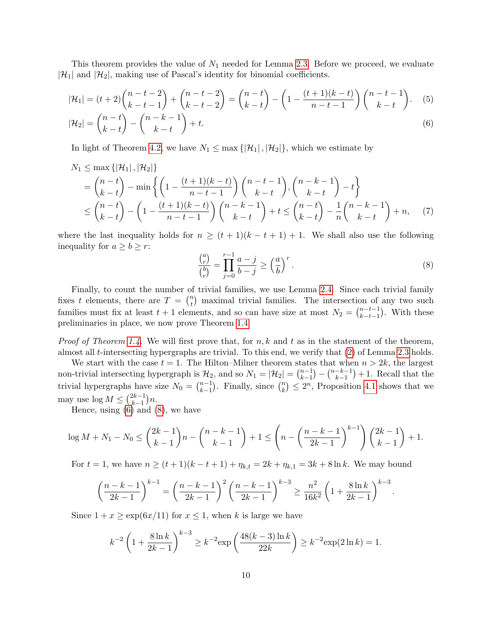This theorem provides the value of  $N_1$  needed for Lemma [2.3.](#page-5-2) Before we proceed, we evaluate  $|\mathcal{H}_1|$  and  $|\mathcal{H}_2|$ , making use of Pascal's identity for binomial coefficients.

$$
|\mathcal{H}_1| = (t+2) \binom{n-t-2}{k-t-1} + \binom{n-t-2}{k-t-2} = \binom{n-t}{k-t} - \left(1 - \frac{(t+1)(k-t)}{n-t-1}\right) \binom{n-t-1}{k-t}.
$$
  
\n
$$
|\mathcal{H}_2| = \binom{n-t}{k-t} - \binom{n-k-1}{k-t} + t.
$$
  
\n(6)

In light of Theorem [4.2,](#page-8-2) we have  $N_1 \leq \max\{|\mathcal{H}_1|, |\mathcal{H}_2|\}$ , which we estimate by

$$
N_1 \le \max\{|\mathcal{H}_1|, |\mathcal{H}_2|\}
$$
  
=  $\binom{n-t}{k-t}$  - min  $\left\{ \left(1 - \frac{(t+1)(k-t)}{n-t-1}\right) \binom{n-t-1}{k-t}, \binom{n-k-1}{k-t} - t \right\}$   
 $\le \binom{n-t}{k-t} - \left(1 - \frac{(t+1)(k-t)}{n-t-1}\right) \binom{n-k-1}{k-t} + t \le \binom{n-t}{k-t} - \frac{1}{n} \binom{n-k-1}{k-t} + n,$  (7)

where the last inequality holds for  $n \geq (t+1)(k-t+1) + 1$ . We shall also use the following inequality for  $a \geq b \geq r$ :

<span id="page-9-3"></span><span id="page-9-2"></span><span id="page-9-1"></span><span id="page-9-0"></span>
$$
\frac{\binom{a}{r}}{\binom{b}{r}} = \prod_{j=0}^{r-1} \frac{a-j}{b-j} \ge \left(\frac{a}{b}\right)^r.
$$
\n
$$
(8)
$$

Finally, to count the number of trivial families, we use Lemma [2.4.](#page-5-3) Since each trivial family fixes t elements, there are  $T = \binom{n}{t}$  $\binom{n}{t}$  maximal trivial families. The intersection of any two such families must fix at least  $t + 1$  elements, and so can have size at most  $N_2 = \binom{n-t-1}{k-t-1}$  $_{k-t-1}^{n-t-1}$ . With these preliminaries in place, we now prove Theorem [1.4.](#page-2-0)

*Proof of Theorem [1.4.](#page-2-0)* We will first prove that, for  $n, k$  and  $t$  as in the statement of the theorem, almost all t-intersecting hypergraphs are trivial. To this end, we verify that [\(2\)](#page-5-0) of Lemma [2.3](#page-5-2) holds.

We start with the case  $t = 1$ . The Hilton–Milner theorem states that when  $n > 2k$ , the largest non-trivial intersecting hypergraph is  $\mathcal{H}_2$ , and so  $N_1 = |\mathcal{H}_2| = \binom{n-1}{k-1}$  $\binom{n-1}{k-1} - \binom{n-k-1}{k-1}$  $\binom{-k-1}{k-1}+1$ . Recall that the trivial hypergraphs have size  $N_0 = \binom{n-1}{k-1}$  $_{k-1}^{n-1}$ ). Finally, since  $\binom{n}{k}$  ${k \choose k} \leq 2^n$ , Proposition [4.1](#page-8-1) shows that we may use  $\log M \leq \binom{2k-1}{k-1}$  $_{k-1}^{2k-1}$ )n.

Hence, using  $(6)$  and  $(8)$ , we have

$$
\log M + N_1 - N_0 \le {2k - 1 \choose k - 1} n - {n - k - 1 \choose k - 1} + 1 \le {n - \left(\frac{n - k - 1}{2k - 1}\right)^{k - 1} \choose k - 1} {2k - 1 \choose k - 1} + 1.
$$

For  $t = 1$ , we have  $n \ge (t + 1)(k - t + 1) + \eta_{k,t} = 2k + \eta_{k,1} = 3k + 8 \ln k$ . We may bound

$$
\left(\frac{n-k-1}{2k-1}\right)^{k-1} = \left(\frac{n-k-1}{2k-1}\right)^2 \left(\frac{n-k-1}{2k-1}\right)^{k-3} \ge \frac{n^2}{16k^2} \left(1 + \frac{8\ln k}{2k-1}\right)^{k-3}.
$$

Since  $1 + x \ge \exp(6x/11)$  for  $x \le 1$ , when k is large we have

$$
k^{-2} \left( 1 + \frac{8 \ln k}{2k - 1} \right)^{k - 3} \ge k^{-2} \exp\left( \frac{48(k - 3) \ln k}{22k} \right) \ge k^{-2} \exp(2 \ln k) = 1.
$$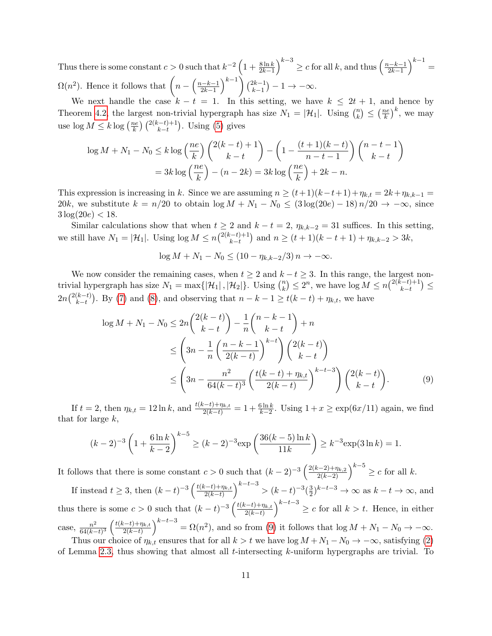Thus there is some constant  $c > 0$  such that  $k^{-2} \left(1 + \frac{8 \ln k}{2k-1}\right)^{k-3} \ge c$  for all k, and thus  $\left(\frac{n-k-1}{2k-1}\right)^{k-3}$  $\left(\frac{k-k-1}{2k-1}\right)^{k-1} =$  $\Omega(n^2)$ . Hence it follows that  $\left(n - \frac{n-k-1}{2k-1}\right)$  $\left(\frac{k-k-1}{2k-1}\right)^{k-1}$   $\binom{2k-1}{k-1}$  ${k-1 \choose k-1} - 1 \rightarrow -\infty.$ 

We next handle the case  $k - t = 1$ . In this setting, we have  $k \leq 2t + 1$ , and hence by Theorem [4.2,](#page-8-2) the largest non-trivial hypergraph has size  $N_1 = |\mathcal{H}_1|$ . Using  $\binom{n}{k}$  $\binom{n}{k} \leq \left(\frac{ne}{k}\right)$  $\left(\frac{ie}{k}\right)^k$ , we may use  $\log M \leq k \log \left( \frac{ne}{k} \right)$  $\frac{ke}{k}$  $\binom{2(k-t)+1}{k-t}$ . Using [\(5\)](#page-9-2) gives

$$
\log M + N_1 - N_0 \le k \log \left(\frac{ne}{k}\right) \left(\frac{2(k-t)+1}{k-t}\right) - \left(1 - \frac{(t+1)(k-t)}{n-t-1}\right) \left(\frac{n-t-1}{k-t}\right)
$$

$$
= 3k \log \left(\frac{ne}{k}\right) - (n-2k) = 3k \log \left(\frac{ne}{k}\right) + 2k - n.
$$

This expression is increasing in k. Since we are assuming  $n \ge (t+1)(k-t+1)+\eta_{k,t} = 2k+\eta_{k,k-1} =$ 20k, we substitute  $k = n/20$  to obtain  $\log M + N_1 - N_0 \leq (3 \log(20e) - 18) n/20 \rightarrow -\infty$ , since  $3 \log(20e) < 18$ .

Similar calculations show that when  $t \geq 2$  and  $k - t = 2$ ,  $\eta_{k,k-2} = 31$  suffices. In this setting, we still have  $N_1 = |\mathcal{H}_1|$ . Using  $\log M \leq n \binom{2(k-t)+1}{k-t}$  $(k-t+1)$  and  $n \ge (t+1)(k-t+1) + \eta_{k,k-2} > 3k,$ 

<span id="page-10-0"></span>
$$
\log M + N_1 - N_0 \le (10 - \eta_{k,k-2}/3) n \to -\infty.
$$

We now consider the remaining cases, when  $t \geq 2$  and  $k - t \geq 3$ . In this range, the largest nontrivial hypergraph has size  $N_1 = \max\{|\mathcal{H}_1|, |\mathcal{H}_2|\}.$  Using  $\binom{n}{k}$  ${k \choose k} \leq 2^n$ , we have  $\log M \leq n {2(k-t)+1 \choose k-t}$  $_{k-t}^{(-t)+1}) \leq$  $2n\binom{2(k-t)}{k-t}$  $(k-t)$ . By [\(7\)](#page-9-3) and [\(8\)](#page-9-1), and observing that  $n-k-1 \ge t(k-t) + \eta_{k,t}$ , we have

$$
\log M + N_1 - N_0 \le 2n \binom{2(k-t)}{k-t} - \frac{1}{n} \binom{n-k-1}{k-t} + n
$$
  
\n
$$
\le \left(3n - \frac{1}{n} \left(\frac{n-k-1}{2(k-t)}\right)^{k-t}\right) \binom{2(k-t)}{k-t}
$$
  
\n
$$
\le \left(3n - \frac{n^2}{64(k-t)^3} \left(\frac{t(k-t) + \eta_{k,t}}{2(k-t)}\right)^{k-t-3} \right) \binom{2(k-t)}{k-t}.
$$
 (9)

If  $t = 2$ , then  $\eta_{k,t} = 12 \ln k$ , and  $\frac{t(k-t)+\eta_{k,t}}{2(k-t)} = 1 + \frac{6 \ln k}{k-2}$ . Using  $1 + x \ge \exp(6x/11)$  again, we find that for large  $k$ ,

$$
(k-2)^{-3} \left(1 + \frac{6\ln k}{k-2}\right)^{k-5} \ge (k-2)^{-3} \exp\left(\frac{36(k-5)\ln k}{11k}\right) \ge k^{-3} \exp(3\ln k) = 1.
$$

It follows that there is some constant  $c > 0$  such that  $(k-2)^{-3} \left( \frac{2(k-2)+\eta_{k,2}}{2(k-2)} \right)^{k-5} \geq c$  for all k.

If instead  $t \geq 3$ , then  $(k-t)^{-3} \left( \frac{t(k-t)+\eta_{k,t}}{2(k-t)} \right)$  $\left(\frac{2(k-t)+\eta_{k,t}}{2(k-t)}\right)^{k-t-3} > (k-t)^{-3} \left(\frac{3}{2}\right)$  $\frac{3}{2}$ )<sup>k-t-3</sup> → ∞ as k – t → ∞, and thus there is some  $c > 0$  such that  $(k-t)^{-3} \left( \frac{t(k-t)+\eta_{k,t}}{2(k-t)} \right)$  $\left(\frac{2(k-t)+\eta_{k,t}}{2(k-t)}\right)^{k-t-3} \geq c$  for all  $k > t$ . Hence, in either case,  $\frac{n^2}{64(k-1)}$  $\frac{n^2}{64(k-t)^3} \left( \frac{t(k-t)+\eta_{k,t}}{2(k-t)} \right)$  $\left(\frac{2(k-t)+\eta_{k,t}}{2(k-t)}\right)^{k-t-3} = \Omega(n^2)$ , and so from [\(9\)](#page-10-0) it follows that  $\log M + N_1 - N_0 \to -\infty$ . Thus our choice of  $\eta_{k,t}$  ensures that for all  $k > t$  we have log  $M + N_1 - N_0 \rightarrow -\infty$ , satisfying [\(2\)](#page-5-0)

of Lemma [2.3,](#page-5-2) thus showing that almost all t-intersecting  $k$ -uniform hypergraphs are trivial. To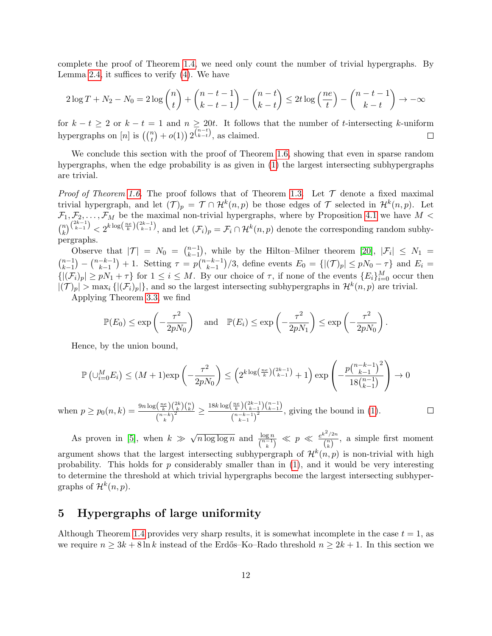complete the proof of Theorem [1.4,](#page-2-0) we need only count the number of trivial hypergraphs. By Lemma [2.4,](#page-5-3) it suffices to verify [\(4\)](#page-5-4). We have

$$
2\log T + N_2 - N_0 = 2\log {n \choose t} + {n-t-1 \choose k-t-1} - {n-t \choose k-t} \le 2t\log \left(\frac{ne}{t}\right) - {n-t-1 \choose k-t} \to -\infty
$$

for  $k - t \geq 2$  or  $k - t = 1$  and  $n \geq 20t$ . It follows that the number of t-intersecting k-uniform hypergraphs on  $[n]$  is  $\left(\binom{n}{t} + o(1)\right) 2^{\binom{n-t}{k-t}}$ , as claimed.  $\Box$ 

We conclude this section with the proof of Theorem [1.6,](#page-3-4) showing that even in sparse random hypergraphs, when the edge probability is as given in [\(1\)](#page-3-1) the largest intersecting subhypergraphs are trivial.

*Proof of Theorem [1.6.](#page-3-4)* The proof follows that of Theorem [1.3.](#page-1-5) Let  $\mathcal T$  denote a fixed maximal trivial hypergraph, and let  $(\mathcal{T})_p = \mathcal{T} \cap \mathcal{H}^k(n,p)$  be those edges of  $\mathcal{T}$  selected in  $\mathcal{H}^k(n,p)$ . Let  $\mathcal{F}_1, \mathcal{F}_2, \ldots, \mathcal{F}_M$  be the maximal non-trivial hypergraphs, where by Proposition [4.1](#page-8-1) we have  $M <$  $\binom{n}{k}$  $\mathcal{L}_{k}^{(2k-1)} < 2^{k \log(\frac{ne}{k})(2k-1)}$ , and let  $(\mathcal{F}_{i})_{p} = \mathcal{F}_{i} \cap \mathcal{H}^{k}(n, p)$  denote the corresponding random subhypergraphs.

Observe that  $|\mathcal{T}| = N_0 = \binom{n-1}{k-1}$  $\binom{n-1}{k-1}$ , while by the Hilton–Milner theorem [\[20\]](#page-17-11),  $|\mathcal{F}_i| \leq N_1 =$  $\binom{n-1}{k-1}$  $\binom{n-1}{k-1} - \binom{n-k-1}{k-1}$  $\binom{-k-1}{k-1}+1$ . Setting  $\tau = p\binom{n-k-1}{k-1}$  $\binom{-k-1}{k-1}/3$ , define events  $E_0 = \{ |(\mathcal{T})_p| \leq pN_0 - \tau \}$  and  $E_i =$  $\{|(\mathcal{F}_i)_p|\geq pN_1+\tau\}$  for  $1\leq i\leq M$ . By our choice of  $\tau$ , if none of the events  $\{E_i\}_{i=0}^M$  occur then  $|(\mathcal{T})_p| > \max_i \{ |(\mathcal{F}_i)_p| \}$ , and so the largest intersecting subhypergraphs in  $\mathcal{H}^k(n, p)$  are trivial.

Applying Theorem [3.3,](#page-7-0) we find

$$
\mathbb{P}(E_0) \le \exp\left(-\frac{\tau^2}{2pN_0}\right) \quad \text{and} \quad \mathbb{P}(E_i) \le \exp\left(-\frac{\tau^2}{2pN_1}\right) \le \exp\left(-\frac{\tau^2}{2pN_0}\right).
$$

Hence, by the union bound,

$$
\mathbb{P}\left(\cup_{i=0}^M E_i\right) \le (M+1)\exp\left(-\frac{\tau^2}{2pN_0}\right) \le \left(2^{k\log\left(\frac{ne}{k}\right)\binom{2k-1}{k-1}} + 1\right) \exp\left(-\frac{p\binom{n-k-1}{k-1}^2}{18\binom{n-1}{k-1}}\right) \to 0
$$

 $\frac{\binom{n e}{k}\binom{2 k}{k}\binom{n}{k}}{\binom{n-k}{k}^2}\geq \frac{18k\log\left(\frac{n e}{k}\right)\binom{2 k-1}{k-1}\binom{n-1}{k-1}}{\binom{n-k-1}{k-1}^2}$ when  $p \ge p_0(n,k) = \frac{9n \log\left(\frac{ne}{k}\right)\binom{2k}{k}\binom{n}{k}}{\binom{n-k}{2}}$  $\frac{\binom{k}{k-1}\binom{k-1}{k-1}}{\binom{n-k-1}{k-1}^2}$ , giving the bound in [\(1\)](#page-3-1).  $\Box$ 

As proven in [\[5\]](#page-17-4), when  $k \gg$  $\sqrt{n \log \log n}$  and  $\frac{\log n}{\binom{n-1}{k}} \ll p \ll \frac{e^{k^2/2n}}{\binom{n}{k}}$  $\frac{\binom{n}{k}}{\binom{n}{k}}$ , a simple first moment argument shows that the largest intersecting subhypergraph of  $\mathcal{H}^k(n,p)$  is non-trivial with high probability. This holds for  $p$  considerably smaller than in  $(1)$ , and it would be very interesting to determine the threshold at which trivial hypergraphs become the largest intersecting subhypergraphs of  $\mathcal{H}^k(n,p)$ .

## <span id="page-11-0"></span>5 Hypergraphs of large uniformity

Although Theorem [1.4](#page-2-0) provides very sharp results, it is somewhat incomplete in the case  $t = 1$ , as we require  $n \geq 3k + 8 \ln k$  instead of the Erdős–Ko–Rado threshold  $n \geq 2k + 1$ . In this section we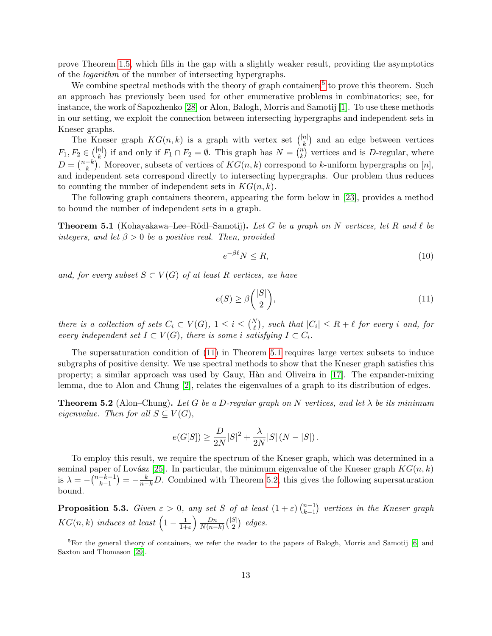prove Theorem [1.5,](#page-2-3) which fills in the gap with a slightly weaker result, providing the asymptotics of the logarithm of the number of intersecting hypergraphs.

We combine spectral methods with the theory of graph containers<sup>[5](#page-12-0)</sup> to prove this theorem. Such an approach has previously been used for other enumerative problems in combinatorics; see, for instance, the work of Sapozhenko [\[28\]](#page-18-3) or Alon, Balogh, Morris and Samotij [\[1\]](#page-16-1). To use these methods in our setting, we exploit the connection between intersecting hypergraphs and independent sets in Kneser graphs.

The Kneser graph  $KG(n, k)$  is a graph with vertex set  $\binom{[n]}{k}$  and an edge between vertices k  $F_1, F_2 \in \binom{[n]}{k}$  $\binom{n}{k}$  if and only if  $F_1 \cap F_2 = \emptyset$ . This graph has  $N = \binom{n}{k}$  $\binom{n}{k}$  vertices and is D-regular, where  $D = \binom{n-k}{k}$  $\binom{-k}{k}$ . Moreover, subsets of vertices of  $KG(n, k)$  correspond to k-uniform hypergraphs on  $[n]$ , and independent sets correspond directly to intersecting hypergraphs. Our problem thus reduces to counting the number of independent sets in  $KG(n, k)$ .

The following graph containers theorem, appearing the form below in [\[23\]](#page-18-4), provides a method to bound the number of independent sets in a graph.

<span id="page-12-2"></span>**Theorem 5.1** (Kohayakawa–Lee–Rödl–Samotij). Let G be a graph on N vertices, let R and  $\ell$  be integers, and let  $\beta > 0$  be a positive real. Then, provided

<span id="page-12-5"></span>
$$
e^{-\beta \ell} N \le R,\tag{10}
$$

and, for every subset  $S \subset V(G)$  of at least R vertices, we have

<span id="page-12-1"></span>
$$
e(S) \ge \beta \binom{|S|}{2},\tag{11}
$$

there is a collection of sets  $C_i \subset V(G)$ ,  $1 \leq i \leq {N \choose \ell}$ , such that  $|C_i| \leq R + \ell$  for every i and, for every independent set  $I \subset V(G)$ , there is some i satisfying  $I \subset C_i$ .

The supersaturation condition of [\(11\)](#page-12-1) in Theorem [5.1](#page-12-2) requires large vertex subsets to induce subgraphs of positive density. We use spectral methods to show that the Kneser graph satisfies this property; a similar approach was used by Gauy, H`an and Oliveira in [\[17\]](#page-17-5). The expander-mixing lemma, due to Alon and Chung [\[2\]](#page-16-2), relates the eigenvalues of a graph to its distribution of edges.

<span id="page-12-3"></span>**Theorem 5.2** (Alon–Chung). Let G be a D-regular graph on N vertices, and let  $\lambda$  be its minimum eigenvalue. Then for all  $S \subseteq V(G)$ ,

$$
e(G[S]) \ge \frac{D}{2N}|S|^2 + \frac{\lambda}{2N}|S| (N - |S|).
$$

To employ this result, we require the spectrum of the Kneser graph, which was determined in a seminal paper of Lovász [\[25\]](#page-18-5). In particular, the minimum eigenvalue of the Kneser graph  $KG(n, k)$ is  $\lambda = -\binom{n-k-1}{k-1}$  $\binom{-k-1}{k-1} = -\frac{k}{n-k}D.$  Combined with Theorem [5.2,](#page-12-3) this gives the following supersaturation bound.

<span id="page-12-4"></span>**Proposition 5.3.** Given  $\varepsilon > 0$ , any set S of at least  $(1 + \varepsilon) \binom{n-1}{k-1}$  $_{k-1}^{n-1}$ ) vertices in the Kneser graph  $KG(n, k)$  induces at least  $\left(1 - \frac{1}{1 + k}\right)$  $\frac{1}{1+\varepsilon}\right)\frac{Dn}{N(n-1)}$  $\frac{Dn}{N(n-k)} { |S| \choose 2}$  ${S| \choose 2}$  edges.

<span id="page-12-0"></span><sup>5</sup>For the general theory of containers, we refer the reader to the papers of Balogh, Morris and Samotij [\[6\]](#page-17-14) and Saxton and Thomason [\[29\]](#page-18-6).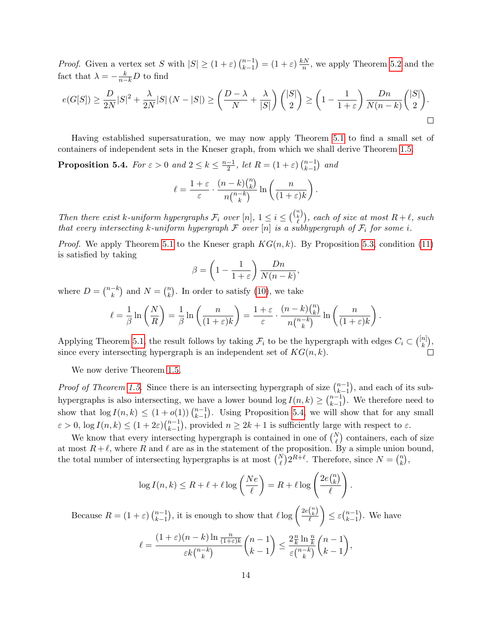*Proof.* Given a vertex set S with  $|S| \geq (1 + \varepsilon) \binom{n-1}{k-1}$  $\binom{n-1}{k-1} = (1+\varepsilon)\frac{kN}{n}$  $\frac{1}{n}$ , we apply Theorem [5.2](#page-12-3) and the fact that  $\lambda = -\frac{k}{n-k}D$  to find

$$
e(G[S]) \ge \frac{D}{2N}|S|^2 + \frac{\lambda}{2N}|S|(N-|S|) \ge \left(\frac{D-\lambda}{N} + \frac{\lambda}{|S|}\right)\binom{|S|}{2} \ge \left(1 - \frac{1}{1+\varepsilon}\right)\frac{Dn}{N(n-k)}\binom{|S|}{2}.
$$

Having established supersaturation, we may now apply Theorem [5.1](#page-12-2) to find a small set of containers of independent sets in the Kneser graph, from which we shall derive Theorem [1.5.](#page-2-3)

<span id="page-13-0"></span>**Proposition 5.4.** For  $\varepsilon > 0$  and  $2 \leq k \leq \frac{n-1}{2}$  $\frac{-1}{2}$ , let  $R = (1 + \varepsilon) \binom{n-1}{k-1}$  $_{k-1}^{n-1}$  and

$$
\ell = \frac{1+\varepsilon}{\varepsilon} \cdot \frac{(n-k) {n \choose k}}{n {n-k \choose k}} \ln \left( \frac{n}{(1+\varepsilon)k} \right).
$$

Then there exist k-uniform hypergraphs  $\mathcal{F}_i$  over  $[n]$ ,  $1 \leq i \leq {n \choose k}$  $\binom{\vec{k}}{\ell}$ , each of size at most  $R + \ell$ , such that every intersecting k-uniform hypergraph  $\mathcal F$  over  $[n]$  is a subhypergraph of  $\mathcal F_i$  for some i.

*Proof.* We apply Theorem [5.1](#page-12-2) to the Kneser graph  $KG(n, k)$ . By Proposition [5.3,](#page-12-4) condition [\(11\)](#page-12-1) is satisfied by taking

$$
\beta = \left(1 - \frac{1}{1+\varepsilon}\right) \frac{Dn}{N(n-k)},
$$

where  $D = \binom{n-k}{k}$  $\binom{-k}{k}$  and  $N = \binom{n}{k}$  $\binom{n}{k}$ . In order to satisfy [\(10\)](#page-12-5), we take

$$
\ell = \frac{1}{\beta} \ln \left( \frac{N}{R} \right) = \frac{1}{\beta} \ln \left( \frac{n}{(1+\varepsilon)k} \right) = \frac{1+\varepsilon}{\varepsilon} \cdot \frac{(n-k) {n \choose k}}{n {n-k \choose k}} \ln \left( \frac{n}{(1+\varepsilon)k} \right).
$$

Applying Theorem [5.1,](#page-12-2) the result follows by taking  $\mathcal{F}_i$  to be the hypergraph with edges  $C_i \subset \binom{[n]}{k}$  $\binom{n}{k},$ since every intersecting hypergraph is an independent set of  $KG(n, k)$ .

We now derive Theorem [1.5.](#page-2-3)

*Proof of Theorem [1.5.](#page-2-3)* Since there is an intersecting hypergraph of size  $\binom{n-1}{k-1}$  $_{k-1}^{n-1}$ , and each of its subhypergraphs is also intersecting, we have a lower bound  $\log I(n, k) \geq {n-1 \choose k-1}$  $_{k-1}^{n-1}$ ). We therefore need to show that  $\log I(n, k) \leq (1 + o(1)) \binom{n-1}{k-1}$  $_{k-1}^{n-1}$ ). Using Proposition [5.4,](#page-13-0) we will show that for any small  $\varepsilon > 0$ ,  $\log I(n, k) \leq (1 + 2\varepsilon) \binom{n-1}{k-1}$  $\binom{n-1}{k-1}$ , provided  $n \geq 2k+1$  is sufficiently large with respect to  $\varepsilon$ .

We know that every intersecting hypergraph is contained in one of  $\binom{N}{\ell}$  containers, each of size at most  $R + \ell$ , where R and  $\ell$  are as in the statement of the proposition. By a simple union bound, the total number of intersecting hypergraphs is at most  $\binom{N}{\ell} 2^{R+\ell}$ . Therefore, since  $N = \binom{n}{k}$  $\binom{n}{k}$ ,

$$
\log I(n,k) \leq R + \ell + \ell \log \left( \frac{Ne}{\ell} \right) = R + \ell \log \left( \frac{2e\binom{n}{k}}{\ell} \right).
$$

Because  $R = (1 + \varepsilon) \binom{n-1}{k-1}$  $_{k-1}^{n-1}$ ), it is enough to show that  $\ell \log \left( \frac{2e\binom{n}{k}}{\ell} \right)$  $\ell$  $\Big\} \leq \varepsilon {n-1 \choose k-1}$  $_{k-1}^{n-1}$ ). We have  $\ell =$  $(1+\varepsilon)(n-k)\ln\frac{n}{(1+\varepsilon)k}$  $\varepsilon k\binom{n-k}{k}$  $\binom{-k}{k}$  $(n-1)$  $k-1$  $\left\langle \frac{2\frac{n}{k}}{2}\right\rangle$  $\frac{n}{k} \ln \frac{n}{k}$  $\varepsilon \binom{n-k}{k}$  $\binom{-k}{k}$  $(n-1)$  $k-1$  $\bigg),$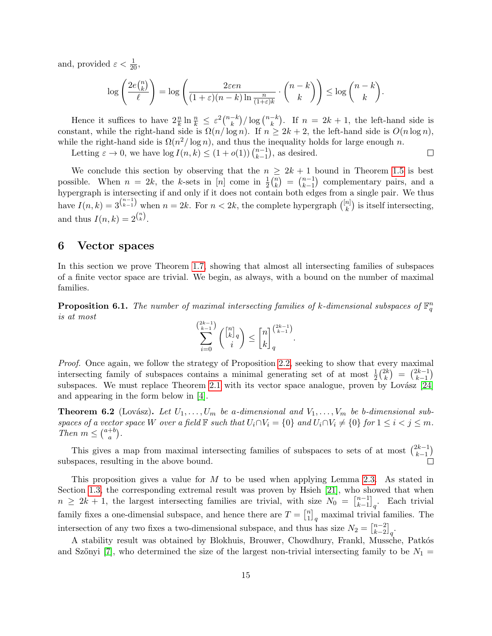and, provided  $\varepsilon < \frac{1}{20}$ ,

$$
\log\left(\frac{2e\binom{n}{k}}{\ell}\right) = \log\left(\frac{2\varepsilon en}{(1+\varepsilon)(n-k)\ln\frac{n}{(1+\varepsilon)k}}\cdot\binom{n-k}{k}\right) \le \log\binom{n-k}{k}.
$$

Hence it suffices to have  $2 \frac{n}{k} \ln \frac{n}{k} \leq \varepsilon^2 {n-k \choose k}$  $\binom{-k}{k}$ / log  $\binom{n-k}{k}$  $\binom{-k}{k}$ . If  $n = 2k + 1$ , the left-hand side is constant, while the right-hand side is  $\Omega(n/\log n)$ . If  $n \geq 2k + 2$ , the left-hand side is  $O(n \log n)$ , while the right-hand side is  $\Omega(n^2/\log n)$ , and thus the inequality holds for large enough n.  $\Box$ 

Letting  $\varepsilon \to 0$ , we have  $\log I(n, k) \leq (1 + o(1)) \binom{n-1}{k-1}$  $_{k-1}^{n-1}$ , as desired.

We conclude this section by observing that the  $n \geq 2k + 1$  bound in Theorem [1.5](#page-2-3) is best possible. When  $n = 2k$ , the k-sets in [n] come in  $\frac{1}{2} {n \choose k}$  $\binom{n}{k} = \binom{n-1}{k-1}$  $_{k-1}^{n-1}$ ) complementary pairs, and a hypergraph is intersecting if and only if it does not contain both edges from a single pair. We thus have  $I(n, k) = 3^{n-1 \choose k-1}$  when  $n = 2k$ . For  $n < 2k$ , the complete hypergraph  $\binom{n}{k}$  $\binom{n}{k}$  is itself intersecting, and thus  $I(n,k) = 2^{\binom{n}{k}}$ .

### <span id="page-14-0"></span>6 Vector spaces

In this section we prove Theorem [1.7,](#page-3-5) showing that almost all intersecting families of subspaces of a finite vector space are trivial. We begin, as always, with a bound on the number of maximal families.

**Proposition 6.1.** The number of maximal intersecting families of k-dimensional subspaces of  $\mathbb{F}_q^n$ is at most

$$
\sum_{i=0}^{2k-1} \binom{\binom{n}{k}_q}{i} \le \binom{n}{k}_q^{2k-1}.
$$

Proof. Once again, we follow the strategy of Proposition [2.2,](#page-4-1) seeking to show that every maximal intersecting family of subspaces contains a minimal generating set of at most  $\frac{1}{2} {2k \choose k}$  $\binom{2k}{k} = \binom{2k-1}{k-1}$  $\binom{2k-1}{k-1}$ subspaces. We must replace Theorem [2.1](#page-4-0) with its vector space analogue, proven by Lovász  $[24]$ and appearing in the form below in [\[4\]](#page-16-3).

**Theorem 6.2** (Lovász). Let  $U_1, \ldots, U_m$  be a-dimensional and  $V_1, \ldots, V_m$  be b-dimensional subspaces of a vector space W over a field  $\mathbb F$  such that  $U_i \cap V_i = \{0\}$  and  $U_i \cap V_i \neq \{0\}$  for  $1 \leq i < j \leq m$ . Then  $m \leq {a+b \choose a}$  $\binom{+b}{a}$ .

This gives a map from maximal intersecting families of subspaces to sets of at most  $\binom{2k-1}{k-1}$  $\binom{2k-1}{k-1}$ subspaces, resulting in the above bound.

This proposition gives a value for M to be used when applying Lemma [2.3.](#page-5-2) As stated in Section [1.3,](#page-3-0) the corresponding extremal result was proven by Hsieh [\[21\]](#page-17-8), who showed that when  $n \geq 2k+1$ , the largest intersecting families are trivial, with size  $N_0 = \binom{n-1}{k-1}$  $_{k-1}^{n-1}$ ]<sub>q</sub>. Each trivial family fixes a one-dimensial subspace, and hence there are  $T = \begin{bmatrix} n \\ 1 \end{bmatrix}$  $\binom{n}{1}_q$  maximal trivial families. The intersection of any two fixes a two-dimensional subspace, and thus has size  $N_2 = \binom{n-2}{k-2}$  $_{k-2}^{n-2}$ <sub>q</sub>.

A stability result was obtained by Blokhuis, Brouwer, Chowdhury, Frankl, Mussche, Patkós and Szőnyi [\[7\]](#page-17-15), who determined the size of the largest non-trivial intersecting family to be  $N_1 =$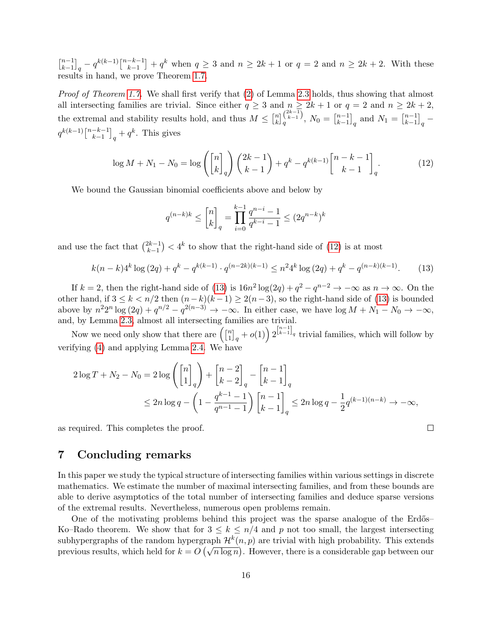$\lceil\frac{n-1}{k}\rceil$  $\binom{n-1}{k-1}_q - q^{k(k-1)} \binom{n-k-1}{k-1}$  $\binom{-k-1}{k-1}+q^k$  when  $q\geq 3$  and  $n\geq 2k+1$  or  $q=2$  and  $n\geq 2k+2$ . With these results in hand, we prove Theorem [1.7.](#page-3-5)

Proof of Theorem [1.7.](#page-3-5) We shall first verify that [\(2\)](#page-5-0) of Lemma [2.3](#page-5-2) holds, thus showing that almost all intersecting families are trivial. Since either  $q \geq 3$  and  $n \geq 2k+1$  or  $q = 2$  and  $n \geq 2k+2$ , the extremal and stability results hold, and thus  $M \n\leq \binom{n}{k}$  $\binom{n}{k}$  $\binom{2k-1}{k-1}$  $\binom{2k-1}{k-1}, N_0 = \binom{n-1}{k-1}$  $_{k-1}^{n-1}$ <sub>q</sub> and  $N_1 = \begin{bmatrix} n-1 \\ k-1 \end{bmatrix}$  $_{k-1}^{n-1}$ <sub>q</sub> –  $q^{k(k-1)}\binom{n-k-1}{k-1}$  $\left[\begin{matrix} -k-1 \\ k-1 \end{matrix}\right]_q + q^k$ . This gives

<span id="page-15-1"></span>
$$
\log M + N_1 - N_0 = \log \left( \begin{bmatrix} n \\ k \end{bmatrix}_q \right) \binom{2k-1}{k-1} + q^k - q^{k(k-1)} \begin{bmatrix} n-k-1 \\ k-1 \end{bmatrix}_q.
$$
 (12)

We bound the Gaussian binomial coefficients above and below by

$$
q^{(n-k)k} \le \begin{bmatrix} n \\ k \end{bmatrix}_q = \prod_{i=0}^{k-1} \frac{q^{n-i} - 1}{q^{k-i} - 1} \le (2q^{n-k})^k
$$

and use the fact that  $\binom{2k-1}{k-1}$  $\binom{2k-1}{k-1}$  < 4<sup>k</sup> to show that the right-hand side of [\(12\)](#page-15-1) is at most

<span id="page-15-2"></span>
$$
k(n-k)4^{k}\log\left(2q\right) + q^{k} - q^{k(k-1)} \cdot q^{(n-2k)(k-1)} \leq n^{2}4^{k}\log\left(2q\right) + q^{k} - q^{(n-k)(k-1)}.\tag{13}
$$

If  $k = 2$ , then the right-hand side of [\(13\)](#page-15-2) is  $16n^2 \log(2q) + q^2 - q^{n-2} \to -\infty$  as  $n \to \infty$ . On the other hand, if  $3 \le k < n/2$  then  $(n-k)(k-1) \ge 2(n-3)$ , so the right-hand side of [\(13\)](#page-15-2) is bounded above by  $n^2 2^n \log (2q) + q^{n/2} - q^{2(n-3)} \to -\infty$ . In either case, we have  $\log M + N_1 - N_0 \to -\infty$ , and, by Lemma [2.3,](#page-5-2) almost all intersecting families are trivial.

Now we need only show that there are  $\begin{bmatrix} n \\ 1 \end{bmatrix}$  $\binom{n}{1}_q + o(1)$   $2^{\binom{n-1}{k-1}_q}$  trivial families, which will follow by verifying [\(4\)](#page-5-4) and applying Lemma [2.4.](#page-5-3) We have

$$
2\log T + N_2 - N_0 = 2\log \left( \begin{bmatrix} n \\ 1 \end{bmatrix}_q \right) + \begin{bmatrix} n-2 \\ k-2 \end{bmatrix}_q - \begin{bmatrix} n-1 \\ k-1 \end{bmatrix}_q
$$
  
 
$$
\leq 2n \log q - \left( 1 - \frac{q^{k-1} - 1}{q^{n-1} - 1} \right) \begin{bmatrix} n-1 \\ k-1 \end{bmatrix}_q \leq 2n \log q - \frac{1}{2} q^{(k-1)(n-k)} \to -\infty,
$$

 $\Box$ 

as required. This completes the proof.

## <span id="page-15-0"></span>7 Concluding remarks

In this paper we study the typical structure of intersecting families within various settings in discrete mathematics. We estimate the number of maximal intersecting families, and from these bounds are able to derive asymptotics of the total number of intersecting families and deduce sparse versions of the extremal results. Nevertheless, numerous open problems remain.

One of the motivating problems behind this project was the sparse analogue of the Erdős– Ko–Rado theorem. We show that for  $3 \leq k \leq n/4$  and p not too small, the largest intersecting subhypergraphs of the random hypergraph  $\mathcal{H}^k(n,p)$  are trivial with high probability. This extends subhypergraphs of the random hypergraph  $\pi(n, p)$  are trivial with high probability. This extends<br>previous results, which held for  $k = O(\sqrt{n \log n})$ . However, there is a considerable gap between our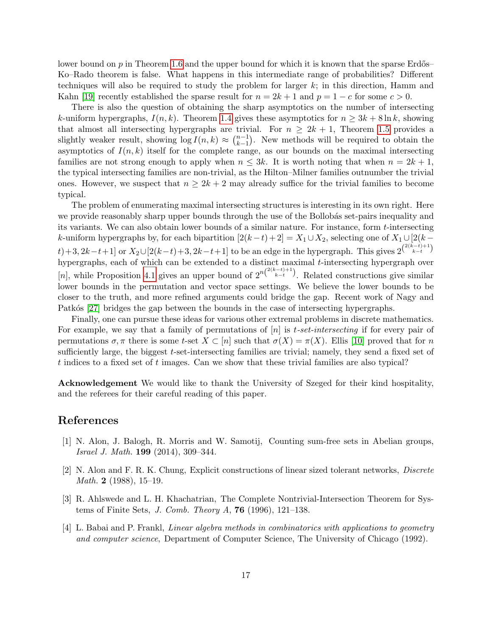lower bound on  $p$  in Theorem [1.6](#page-3-4) and the upper bound for which it is known that the sparse Erdős– Ko–Rado theorem is false. What happens in this intermediate range of probabilities? Different techniques will also be required to study the problem for larger  $k$ ; in this direction, Hamm and Kahn [\[19\]](#page-17-7) recently established the sparse result for  $n = 2k + 1$  and  $p = 1 - c$  for some  $c > 0$ .

There is also the question of obtaining the sharp asymptotics on the number of intersecting k-uniform hypergraphs,  $I(n, k)$ . Theorem [1.4](#page-2-0) gives these asymptotics for  $n \geq 3k + 8 \ln k$ , showing that almost all intersecting hypergraphs are trivial. For  $n \geq 2k + 1$ , Theorem [1.5](#page-2-3) provides a slightly weaker result, showing  $\log I(n, k) \approx {n-1 \choose k-1}$  $\binom{n-1}{k-1}$ . New methods will be required to obtain the asymptotics of  $I(n, k)$  itself for the complete range, as our bounds on the maximal intersecting families are not strong enough to apply when  $n \leq 3k$ . It is worth noting that when  $n = 2k + 1$ , the typical intersecting families are non-trivial, as the Hilton–Milner families outnumber the trivial ones. However, we suspect that  $n \geq 2k + 2$  may already suffice for the trivial families to become typical.

The problem of enumerating maximal intersecting structures is interesting in its own right. Here we provide reasonably sharp upper bounds through the use of the Bollobás set-pairs inequality and its variants. We can also obtain lower bounds of a similar nature. For instance, form t-intersecting k-uniform hypergraphs by, for each bipartition  $[2(k-t)+2] = X_1 \cup X_2$ , selecting one of  $X_1 \cup [2(k-t)]$  $(t) + 3, 2k-t+1$  or  $X_2 \cup [2(k-t)+3, 2k-t+1]$  to be an edge in the hypergraph. This gives  $2^{\binom{2(k-t)+1}{k-t}}$ hypergraphs, each of which can be extended to a distinct maximal t-intersecting hypergraph over [n], while Proposition [4.1](#page-8-1) gives an upper bound of  $2^{n\binom{2(k-t)+1}{k-t}}$ . Related constructions give similar lower bounds in the permutation and vector space settings. We believe the lower bounds to be closer to the truth, and more refined arguments could bridge the gap. Recent work of Nagy and Patkós [\[27\]](#page-18-8) bridges the gap between the bounds in the case of intersecting hypergraphs.

Finally, one can pursue these ideas for various other extremal problems in discrete mathematics. For example, we say that a family of permutations of  $[n]$  is t-set-intersecting if for every pair of permutations  $\sigma, \pi$  there is some t-set  $X \subset [n]$  such that  $\sigma(X) = \pi(X)$ . Ellis [\[10\]](#page-17-16) proved that for n sufficiently large, the biggest t-set-intersecting families are trivial; namely, they send a fixed set of t indices to a fixed set of t images. Can we show that these trivial families are also typical?

Acknowledgement We would like to thank the University of Szeged for their kind hospitality, and the referees for their careful reading of this paper.

## References

- <span id="page-16-1"></span>[1] N. Alon, J. Balogh, R. Morris and W. Samotij, Counting sum-free sets in Abelian groups, Israel J. Math. 199 (2014), 309–344.
- <span id="page-16-2"></span>[2] N. Alon and F. R. K. Chung, Explicit constructions of linear sized tolerant networks, Discrete Math. 2 (1988), 15–19.
- <span id="page-16-0"></span>[3] R. Ahlswede and L. H. Khachatrian, The Complete Nontrivial-Intersection Theorem for Systems of Finite Sets, J. Comb. Theory A, 76 (1996), 121–138.
- <span id="page-16-3"></span>[4] L. Babai and P. Frankl, Linear algebra methods in combinatorics with applications to geometry and computer science, Department of Computer Science, The University of Chicago (1992).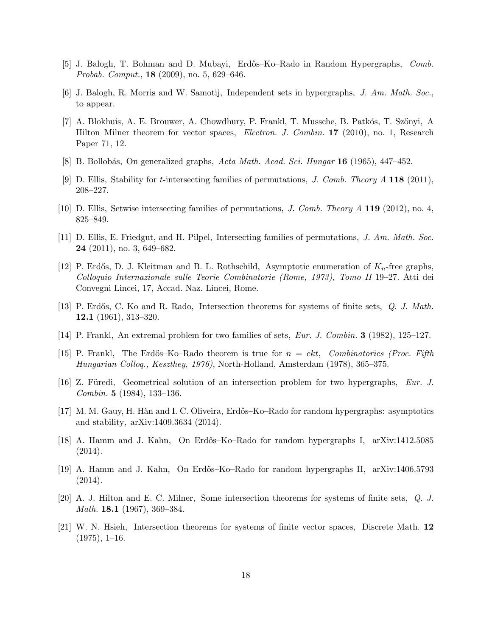- <span id="page-17-4"></span>[5] J. Balogh, T. Bohman and D. Mubayi, Erdős–Ko–Rado in Random Hypergraphs, Comb. Probab. Comput., 18 (2009), no. 5, 629–646.
- <span id="page-17-14"></span>[6] J. Balogh, R. Morris and W. Samotij, Independent sets in hypergraphs, J. Am. Math. Soc., to appear.
- <span id="page-17-15"></span>[7] A. Blokhuis, A. E. Brouwer, A. Chowdhury, P. Frankl, T. Mussche, B. Patkós, T. Szőnyi, A Hilton–Milner theorem for vector spaces, *Electron. J. Combin.* 17 (2010), no. 1, Research Paper 71, 12.
- <span id="page-17-10"></span>[8] B. Bollobás, On generalized graphs, Acta Math. Acad. Sci. Hungar 16 (1965), 447–452.
- <span id="page-17-13"></span>[9] D. Ellis, Stability for t-intersecting families of permutations, J. Comb. Theory A 118 (2011), 208–227.
- <span id="page-17-16"></span>[10] D. Ellis, Setwise intersecting families of permutations, J. Comb. Theory A 119 (2012), no. 4, 825–849.
- <span id="page-17-2"></span>[11] D. Ellis, E. Friedgut, and H. Pilpel, Intersecting families of permutations, J. Am. Math. Soc. 24 (2011), no. 3, 649–682.
- <span id="page-17-0"></span>[12] P. Erdős, D. J. Kleitman and B. L. Rothschild, Asymptotic enumeration of  $K_n$ -free graphs. Colloquio Internazionale sulle Teorie Combinatorie (Rome, 1973), Tomo II 19–27. Atti dei Convegni Lincei, 17, Accad. Naz. Lincei, Rome.
- <span id="page-17-1"></span>[13] P. Erdős, C. Ko and R. Rado, Intersection theorems for systems of finite sets, Q. J. Math. 12.1 (1961), 313–320.
- <span id="page-17-9"></span>[14] P. Frankl, An extremal problem for two families of sets, Eur. J. Combin. 3 (1982), 125–127.
- <span id="page-17-3"></span>[15] P. Frankl, The Erdős–Ko–Rado theorem is true for  $n = ckt$ , Combinatorics (Proc. Fifth Hungarian Colloq., Keszthey, 1976), North-Holland, Amsterdam (1978), 365–375.
- <span id="page-17-12"></span>[16] Z. Füredi, Geometrical solution of an intersection problem for two hypergraphs, Eur. J. Combin. 5 (1984), 133–136.
- <span id="page-17-5"></span>[17] M. M. Gauy, H. H`an and I. C. Oliveira, Erd˝os–Ko–Rado for random hypergraphs: asymptotics and stability, arXiv:1409.3634 (2014).
- <span id="page-17-6"></span>[18] A. Hamm and J. Kahn, On Erd˝os–Ko–Rado for random hypergraphs I, arXiv:1412.5085  $(2014).$
- <span id="page-17-7"></span>[19] A. Hamm and J. Kahn, On Erd˝os–Ko–Rado for random hypergraphs II, arXiv:1406.5793  $(2014).$
- <span id="page-17-11"></span>[20] A. J. Hilton and E. C. Milner, Some intersection theorems for systems of finite sets, Q. J. Math. **18.1** (1967), 369–384.
- <span id="page-17-8"></span>[21] W. N. Hsieh, Intersection theorems for systems of finite vector spaces, Discrete Math. 12  $(1975), 1-16.$